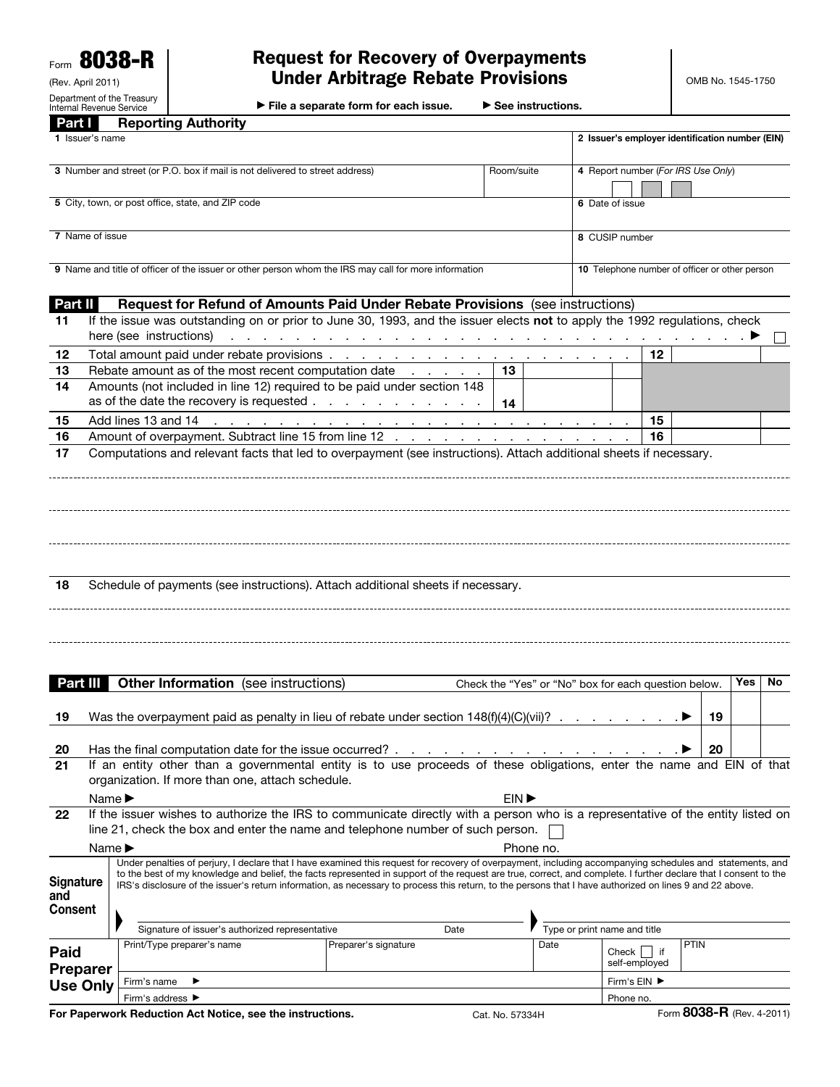Form 8038-R (Rev. April 2011)

Department of the Treasury Internal Revenue Service

## Request for Recovery of Overpayments Under Arbitrage Rebate Provisions

▶ File a separate form for each issue. ▶ See instructions.

| Part I                             |                                                                                                                                                                                                                                      | <b>Reporting Authority</b>                                                                                                                                                                                                                                                                                                                                                                                                                                                                                                                                                           |                 |           |                                                      |               |                           |     |     |  |
|------------------------------------|--------------------------------------------------------------------------------------------------------------------------------------------------------------------------------------------------------------------------------------|--------------------------------------------------------------------------------------------------------------------------------------------------------------------------------------------------------------------------------------------------------------------------------------------------------------------------------------------------------------------------------------------------------------------------------------------------------------------------------------------------------------------------------------------------------------------------------------|-----------------|-----------|------------------------------------------------------|---------------|---------------------------|-----|-----|--|
|                                    | 1 Issuer's name                                                                                                                                                                                                                      |                                                                                                                                                                                                                                                                                                                                                                                                                                                                                                                                                                                      |                 |           | 2 Issuer's employer identification number (EIN)      |               |                           |     |     |  |
|                                    |                                                                                                                                                                                                                                      | 3 Number and street (or P.O. box if mail is not delivered to street address)                                                                                                                                                                                                                                                                                                                                                                                                                                                                                                         | Room/suite      |           | 4 Report number (For IRS Use Only)                   |               |                           |     |     |  |
|                                    |                                                                                                                                                                                                                                      | 5 City, town, or post office, state, and ZIP code                                                                                                                                                                                                                                                                                                                                                                                                                                                                                                                                    |                 |           | 6 Date of issue                                      |               |                           |     |     |  |
| 7 Name of issue                    |                                                                                                                                                                                                                                      |                                                                                                                                                                                                                                                                                                                                                                                                                                                                                                                                                                                      |                 |           | 8 CUSIP number                                       |               |                           |     |     |  |
|                                    |                                                                                                                                                                                                                                      | 9 Name and title of officer of the issuer or other person whom the IRS may call for more information                                                                                                                                                                                                                                                                                                                                                                                                                                                                                 |                 |           | 10 Telephone number of officer or other person       |               |                           |     |     |  |
| Part II                            |                                                                                                                                                                                                                                      | Request for Refund of Amounts Paid Under Rebate Provisions (see instructions)                                                                                                                                                                                                                                                                                                                                                                                                                                                                                                        |                 |           |                                                      |               |                           |     |     |  |
| 11                                 |                                                                                                                                                                                                                                      | If the issue was outstanding on or prior to June 30, 1993, and the issuer elects not to apply the 1992 regulations, check<br>here (see instructions)<br>A contract of the contract of the contract of the contract of the contract of the contract of $\blacktriangleright$                                                                                                                                                                                                                                                                                                          |                 |           |                                                      |               |                           |     |     |  |
| 12                                 |                                                                                                                                                                                                                                      |                                                                                                                                                                                                                                                                                                                                                                                                                                                                                                                                                                                      |                 |           |                                                      | 12            |                           |     |     |  |
| 13                                 |                                                                                                                                                                                                                                      | Rebate amount as of the most recent computation date                                                                                                                                                                                                                                                                                                                                                                                                                                                                                                                                 | 13              |           |                                                      |               |                           |     |     |  |
| 14                                 |                                                                                                                                                                                                                                      | Amounts (not included in line 12) required to be paid under section 148<br>as of the date the recovery is requested                                                                                                                                                                                                                                                                                                                                                                                                                                                                  | -14             |           |                                                      |               |                           |     |     |  |
| 15                                 |                                                                                                                                                                                                                                      |                                                                                                                                                                                                                                                                                                                                                                                                                                                                                                                                                                                      |                 |           |                                                      | 15            |                           |     |     |  |
| 16                                 |                                                                                                                                                                                                                                      | Amount of overpayment. Subtract line 15 from line 12                                                                                                                                                                                                                                                                                                                                                                                                                                                                                                                                 |                 |           |                                                      | 16            |                           |     |     |  |
| 18                                 |                                                                                                                                                                                                                                      | Schedule of payments (see instructions). Attach additional sheets if necessary.                                                                                                                                                                                                                                                                                                                                                                                                                                                                                                      |                 |           |                                                      |               |                           |     |     |  |
| Part III<br>19                     |                                                                                                                                                                                                                                      | <b>Other Information</b> (see instructions)                                                                                                                                                                                                                                                                                                                                                                                                                                                                                                                                          |                 |           | Check the "Yes" or "No" box for each question below. |               | 19                        | Yes | No. |  |
|                                    |                                                                                                                                                                                                                                      |                                                                                                                                                                                                                                                                                                                                                                                                                                                                                                                                                                                      |                 |           |                                                      |               |                           |     |     |  |
| 20<br>21                           | 20<br>If an entity other than a governmental entity is to use proceeds of these obligations, enter the name and EIN of that<br>organization. If more than one, attach schedule.<br>EIN <sup>&gt;</sup><br>Name $\blacktriangleright$ |                                                                                                                                                                                                                                                                                                                                                                                                                                                                                                                                                                                      |                 |           |                                                      |               |                           |     |     |  |
| 22                                 |                                                                                                                                                                                                                                      | If the issuer wishes to authorize the IRS to communicate directly with a person who is a representative of the entity listed on                                                                                                                                                                                                                                                                                                                                                                                                                                                      |                 |           |                                                      |               |                           |     |     |  |
|                                    |                                                                                                                                                                                                                                      | line 21, check the box and enter the name and telephone number of such person.                                                                                                                                                                                                                                                                                                                                                                                                                                                                                                       |                 |           |                                                      |               |                           |     |     |  |
|                                    | Name $\blacktriangleright$                                                                                                                                                                                                           |                                                                                                                                                                                                                                                                                                                                                                                                                                                                                                                                                                                      |                 | Phone no. |                                                      |               |                           |     |     |  |
| Signature<br>and<br><b>Consent</b> |                                                                                                                                                                                                                                      | Under penalties of perjury, I declare that I have examined this request for recovery of overpayment, including accompanying schedules and statements, and<br>to the best of my knowledge and belief, the facts represented in support of the request are true, correct, and complete. I further declare that I consent to the<br>IRS's disclosure of the issuer's return information, as necessary to process this return, to the persons that I have authorized on lines 9 and 22 above.<br>Signature of issuer's authorized representative<br>Type or print name and title<br>Date |                 |           |                                                      |               |                           |     |     |  |
|                                    |                                                                                                                                                                                                                                      | Print/Type preparer's name<br>Preparer's signature                                                                                                                                                                                                                                                                                                                                                                                                                                                                                                                                   |                 | Date      |                                                      |               | <b>PTIN</b>               |     |     |  |
| Paid                               |                                                                                                                                                                                                                                      |                                                                                                                                                                                                                                                                                                                                                                                                                                                                                                                                                                                      |                 |           | Check $\vert \vert$ if                               | self-employed |                           |     |     |  |
| <b>Preparer</b>                    |                                                                                                                                                                                                                                      | Firm's name<br>▶                                                                                                                                                                                                                                                                                                                                                                                                                                                                                                                                                                     |                 |           | Firm's EIN ▶                                         |               |                           |     |     |  |
| <b>Use Only</b>                    |                                                                                                                                                                                                                                      | Firm's address ▶                                                                                                                                                                                                                                                                                                                                                                                                                                                                                                                                                                     |                 |           | Phone no.                                            |               |                           |     |     |  |
|                                    |                                                                                                                                                                                                                                      | For Paperwork Reduction Act Notice, see the instructions.                                                                                                                                                                                                                                                                                                                                                                                                                                                                                                                            | Cat. No. 57334H |           |                                                      |               | Form 8038-R (Rev. 4-2011) |     |     |  |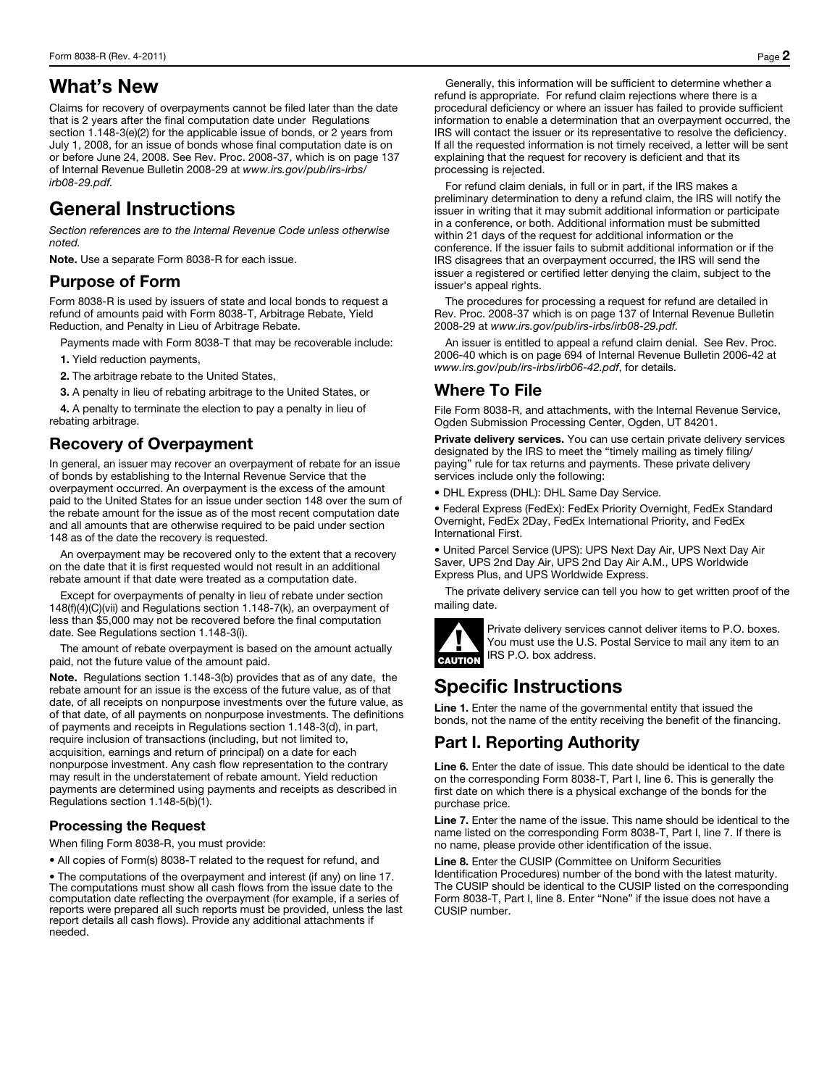## What's New

Claims for recovery of overpayments cannot be filed later than the date that is 2 years after the final computation date under Regulations section 1.148-3(e)(2) for the applicable issue of bonds, or 2 years from July 1, 2008, for an issue of bonds whose final computation date is on or before June 24, 2008. See Rev. Proc. 2008-37, which is on page 137 of Internal Revenue Bulletin 2008-29 at *www.irs.gov/pub/irs-irbs/ irb08-29.pdf.*

# General Instructions

*Section references are to the Internal Revenue Code unless otherwise noted.* 

Note. Use a separate Form 8038-R for each issue.

### Purpose of Form

Form 8038-R is used by issuers of state and local bonds to request a refund of amounts paid with Form 8038-T, Arbitrage Rebate, Yield Reduction, and Penalty in Lieu of Arbitrage Rebate.

Payments made with Form 8038-T that may be recoverable include:

1. Yield reduction payments,

- 2. The arbitrage rebate to the United States,
- 3. A penalty in lieu of rebating arbitrage to the United States, or

4. A penalty to terminate the election to pay a penalty in lieu of rebating arbitrage.

### Recovery of Overpayment

In general, an issuer may recover an overpayment of rebate for an issue of bonds by establishing to the Internal Revenue Service that the overpayment occurred. An overpayment is the excess of the amount paid to the United States for an issue under section 148 over the sum of the rebate amount for the issue as of the most recent computation date and all amounts that are otherwise required to be paid under section 148 as of the date the recovery is requested.

An overpayment may be recovered only to the extent that a recovery on the date that it is first requested would not result in an additional rebate amount if that date were treated as a computation date.

Except for overpayments of penalty in lieu of rebate under section 148(f)(4)(C)(vii) and Regulations section 1.148-7(k), an overpayment of less than \$5,000 may not be recovered before the final computation date. See Regulations section 1.148-3(i).

The amount of rebate overpayment is based on the amount actually paid, not the future value of the amount paid.

Note. Regulations section 1.148-3(b) provides that as of any date, the rebate amount for an issue is the excess of the future value, as of that date, of all receipts on nonpurpose investments over the future value, as of that date, of all payments on nonpurpose investments. The definitions of payments and receipts in Regulations section 1.148-3(d), in part, require inclusion of transactions (including, but not limited to, acquisition, earnings and return of principal) on a date for each nonpurpose investment. Any cash flow representation to the contrary may result in the understatement of rebate amount. Yield reduction payments are determined using payments and receipts as described in Regulations section 1.148-5(b)(1).

#### Processing the Request

When filing Form 8038-R, you must provide:

• All copies of Form(s) 8038-T related to the request for refund, and

• The computations of the overpayment and interest (if any) on line 17. The computations must show all cash flows from the issue date to the computation date reflecting the overpayment (for example, if a series of reports were prepared all such reports must be provided, unless the last report details all cash flows). Provide any additional attachments if needed.

Generally, this information will be sufficient to determine whether a refund is appropriate. For refund claim rejections where there is a procedural deficiency or where an issuer has failed to provide sufficient information to enable a determination that an overpayment occurred, the IRS will contact the issuer or its representative to resolve the deficiency. If all the requested information is not timely received, a letter will be sent explaining that the request for recovery is deficient and that its processing is rejected.

For refund claim denials, in full or in part, if the IRS makes a preliminary determination to deny a refund claim, the IRS will notify the issuer in writing that it may submit additional information or participate in a conference, or both. Additional information must be submitted within 21 days of the request for additional information or the conference. If the issuer fails to submit additional information or if the IRS disagrees that an overpayment occurred, the IRS will send the issuer a registered or certified letter denying the claim, subject to the issuer's appeal rights.

The procedures for processing a request for refund are detailed in Rev. Proc. 2008-37 which is on page 137 of Internal Revenue Bulletin 2008-29 at *www.irs.gov/pub/irs-irbs/irb08-29.pdf.* 

An issuer is entitled to appeal a refund claim denial. See Rev. Proc. 2006-40 which is on page 694 of Internal Revenue Bulletin 2006-42 at *www.irs.gov/pub/irs-irbs/irb06-42.pdf*, for details.

## Where To File

File Form 8038-R, and attachments, with the Internal Revenue Service, Ogden Submission Processing Center, Ogden, UT 84201.

Private delivery services. You can use certain private delivery services designated by the IRS to meet the "timely mailing as timely filing/ paying" rule for tax returns and payments. These private delivery services include only the following:

• DHL Express (DHL): DHL Same Day Service.

• Federal Express (FedEx): FedEx Priority Overnight, FedEx Standard Overnight, FedEx 2Day, FedEx International Priority, and FedEx International First.

• United Parcel Service (UPS): UPS Next Day Air, UPS Next Day Air Saver, UPS 2nd Day Air, UPS 2nd Day Air A.M., UPS Worldwide Express Plus, and UPS Worldwide Express.

The private delivery service can tell you how to get written proof of the mailing date.



Private delivery service<br>You must use the U.S.<br>CAUTION IRS P.O. box address. Private delivery services cannot deliver items to P.O. boxes. You must use the U.S. Postal Service to mail any item to an

## Specific Instructions

Line 1. Enter the name of the governmental entity that issued the bonds, not the name of the entity receiving the benefit of the financing.

## Part I. Reporting Authority

Line 6. Enter the date of issue. This date should be identical to the date on the corresponding Form 8038-T, Part I, line 6. This is generally the first date on which there is a physical exchange of the bonds for the purchase price.

Line 7. Enter the name of the issue. This name should be identical to the name listed on the corresponding Form 8038-T, Part I, line 7. If there is no name, please provide other identification of the issue.

Line 8. Enter the CUSIP (Committee on Uniform Securities Identification Procedures) number of the bond with the latest maturity. The CUSIP should be identical to the CUSIP listed on the corresponding Form 8038-T, Part I, line 8. Enter "None" if the issue does not have a CUSIP number.